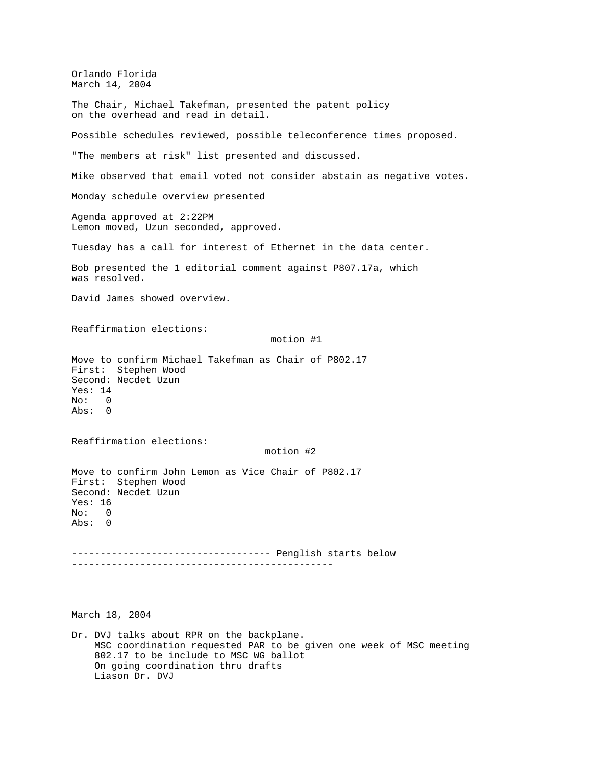Orlando Florida March 14, 2004 The Chair, Michael Takefman, presented the patent policy on the overhead and read in detail. Possible schedules reviewed, possible teleconference times proposed. "The members at risk" list presented and discussed. Mike observed that email voted not consider abstain as negative votes. Monday schedule overview presented Agenda approved at 2:22PM Lemon moved, Uzun seconded, approved. Tuesday has a call for interest of Ethernet in the data center. Bob presented the 1 editorial comment against P807.17a, which was resolved. David James showed overview. Reaffirmation elections: motion #1 Move to confirm Michael Takefman as Chair of P802.17 First: Stephen Wood Second: Necdet Uzun Yes: 14 No: 0 Abs: 0 Reaffirmation elections: motion #2 Move to confirm John Lemon as Vice Chair of P802.17 First: Stephen Wood Second: Necdet Uzun Yes: 16 No: 0 Abs: 0 ----------------------------------- Penglish starts below ----------------------------------------------

March 18, 2004

Dr. DVJ talks about RPR on the backplane. MSC coordination requested PAR to be given one week of MSC meeting 802.17 to be include to MSC WG ballot On going coordination thru drafts Liason Dr. DVJ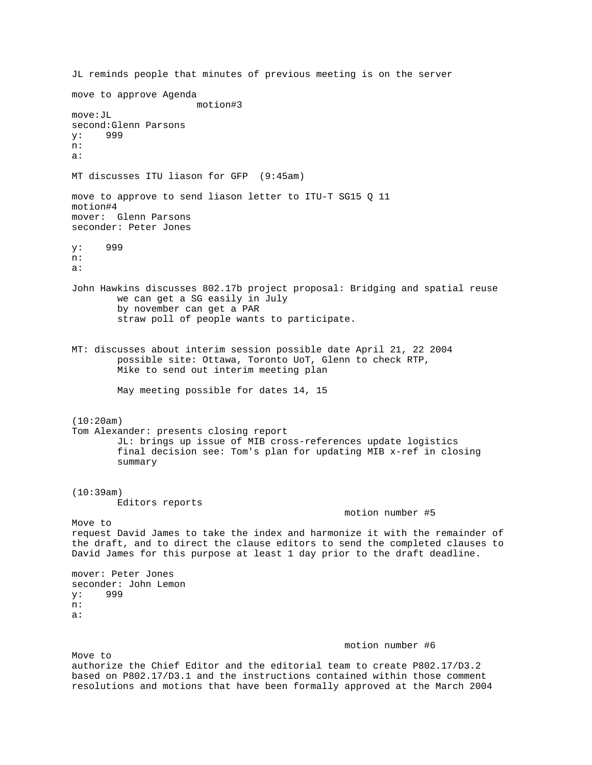JL reminds people that minutes of previous meeting is on the server move to approve Agenda motion#3 move:JL second:Glenn Parsons y: 999 n: a: MT discusses ITU liason for GFP (9:45am) move to approve to send liason letter to ITU-T SG15 Q 11 motion#4 mover: Glenn Parsons seconder: Peter Jones y: 999 n: a: John Hawkins discusses 802.17b project proposal: Bridging and spatial reuse we can get a SG easily in July by november can get a PAR straw poll of people wants to participate. MT: discusses about interim session possible date April 21, 22 2004 possible site: Ottawa, Toronto UoT, Glenn to check RTP, Mike to send out interim meeting plan May meeting possible for dates 14, 15 (10:20am) Tom Alexander: presents closing report JL: brings up issue of MIB cross-references update logistics final decision see: Tom's plan for updating MIB x-ref in closing summary (10:39am) Editors reports motion number #5 Move to request David James to take the index and harmonize it with the remainder of the draft, and to direct the clause editors to send the completed clauses to David James for this purpose at least 1 day prior to the draft deadline. mover: Peter Jones seconder: John Lemon y: 999 n: a: motion number #6 Move to

authorize the Chief Editor and the editorial team to create P802.17/D3.2 based on P802.17/D3.1 and the instructions contained within those comment resolutions and motions that have been formally approved at the March 2004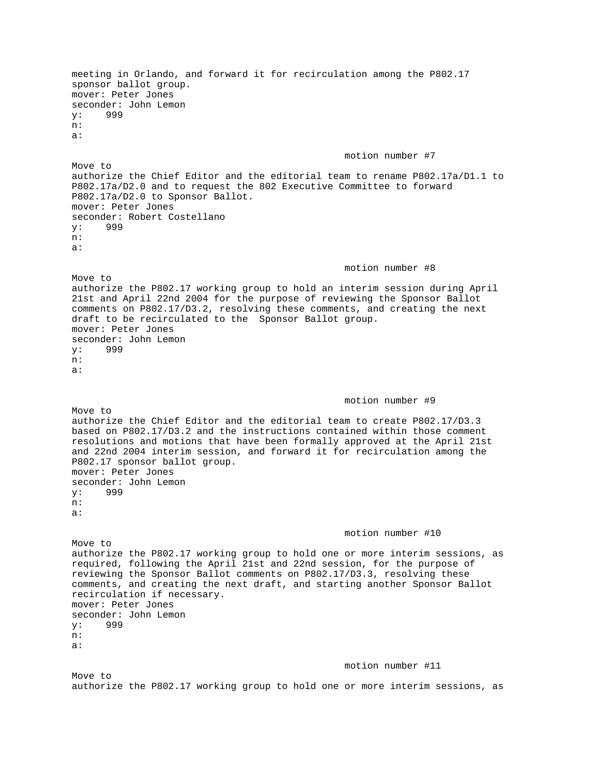meeting in Orlando, and forward it for recirculation among the P802.17 sponsor ballot group. mover: Peter Jones seconder: John Lemon y: 999 n: a: motion number #7 Move to authorize the Chief Editor and the editorial team to rename P802.17a/D1.1 to P802.17a/D2.0 and to request the 802 Executive Committee to forward P802.17a/D2.0 to Sponsor Ballot. mover: Peter Jones seconder: Robert Costellano y: 999 n: a: motion number #8 Move to authorize the P802.17 working group to hold an interim session during April 21st and April 22nd 2004 for the purpose of reviewing the Sponsor Ballot comments on P802.17/D3.2, resolving these comments, and creating the next draft to be recirculated to the Sponsor Ballot group. mover: Peter Jones seconder: John Lemon y: 999 n: a: motion number #9 Move to authorize the Chief Editor and the editorial team to create P802.17/D3.3 based on P802.17/D3.2 and the instructions contained within those comment resolutions and motions that have been formally approved at the April 21st and 22nd 2004 interim session, and forward it for recirculation among the P802.17 sponsor ballot group. mover: Peter Jones seconder: John Lemon y: 999 n: a: motion number #10 Move to authorize the P802.17 working group to hold one or more interim sessions, as required, following the April 21st and 22nd session, for the purpose of reviewing the Sponsor Ballot comments on P802.17/D3.3, resolving these comments, and creating the next draft, and starting another Sponsor Ballot recirculation if necessary. mover: Peter Jones seconder: John Lemon y: 999 n: a: motion number #11 Move to authorize the P802.17 working group to hold one or more interim sessions, as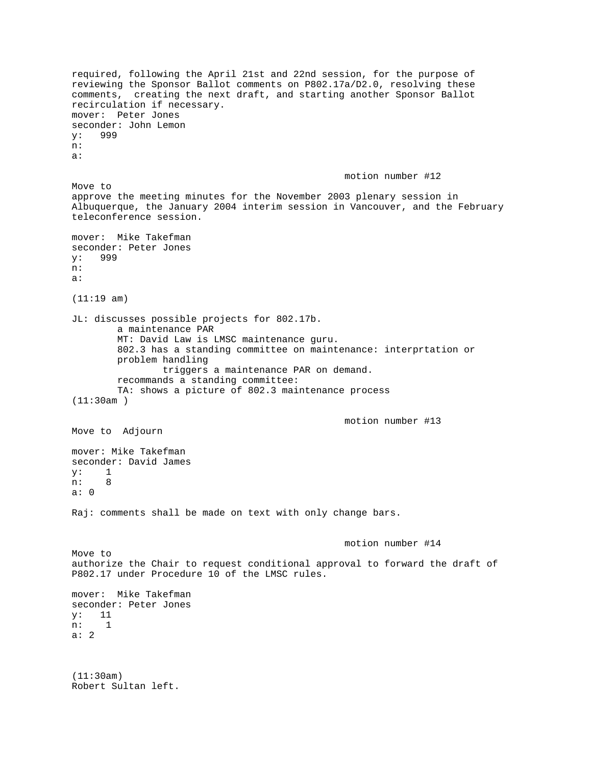required, following the April 21st and 22nd session, for the purpose of reviewing the Sponsor Ballot comments on P802.17a/D2.0, resolving these comments, creating the next draft, and starting another Sponsor Ballot recirculation if necessary. mover: Peter Jones seconder: John Lemon y: 999 n: a: motion number #12 Move to approve the meeting minutes for the November 2003 plenary session in Albuquerque, the January 2004 interim session in Vancouver, and the February teleconference session. mover: Mike Takefman seconder: Peter Jones y: 999 n: a: (11:19 am) JL: discusses possible projects for 802.17b. a maintenance PAR MT: David Law is LMSC maintenance guru. 802.3 has a standing committee on maintenance: interprtation or problem handling triggers a maintenance PAR on demand. recommands a standing committee: TA: shows a picture of 802.3 maintenance process (11:30am ) motion number #13 Move to Adjourn mover: Mike Takefman seconder: David James y: 1 n: 8 a: 0 Raj: comments shall be made on text with only change bars. motion number #14 Move to authorize the Chair to request conditional approval to forward the draft of P802.17 under Procedure 10 of the LMSC rules. mover: Mike Takefman seconder: Peter Jones y: 11 n: 1 a: 2 (11:30am) Robert Sultan left.